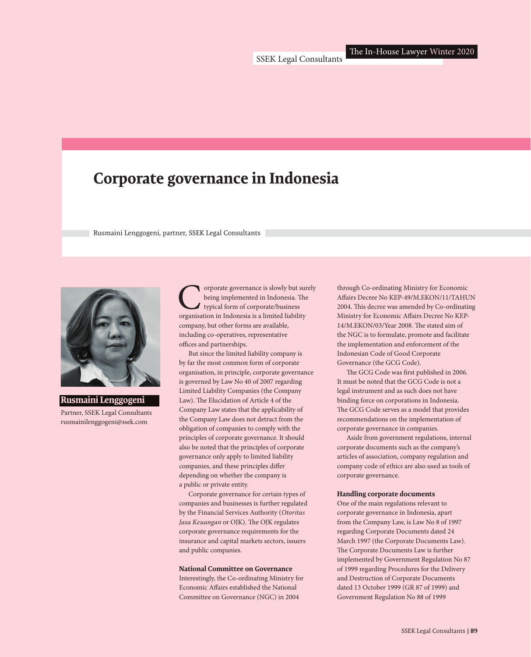## **Corporate governance in Indonesia**

Rusmaini Lenggogeni, partner, SSEK Legal Consultants



**Rusmaini Lenggogeni** Partner, SSEK Legal Consultants rusmainilenggogeni@ssek.com

Corporate governance is slowly but surely<br>being implemented in Indonesia. The<br>organisation in Indonesia is a limited liability being implemented in Indonesia. The typical form of corporate/business company, but other forms are available, including co-operatives, representative offices and partnerships.

But since the limited liability company is by far the most common form of corporate organisation, in principle, corporate governance is governed by Law No 40 of 2007 regarding Limited Liability Companies (the Company Law). The Elucidation of Article 4 of the Company Law states that the applicability of the Company Law does not detract from the obligation of companies to comply with the principles of corporate governance. It should also be noted that the principles of corporate governance only apply to limited liability companies, and these principles differ depending on whether the company is a public or private entity.

Corporate governance for certain types of companies and businesses is further regulated by the Financial Services Authority (*Otoritas Jasa Keuangan* or OJK). The OJK regulates corporate governance requirements for the insurance and capital markets sectors, issuers and public companies.

## **National Committee on Governance**

Interestingly, the Co-ordinating Ministry for Economic Affairs established the National Committee on Governance (NGC) in 2004

through Co-ordinating Ministry for Economic Affairs Decree No KEP-49/M.EKON/11/TAHUN 2004. This decree was amended by Co-ordinating Ministry for Economic Affairs Decree No KEP-14/M.EKON/03/Year 2008. The stated aim of the NGC is to formulate, promote and facilitate the implementation and enforcement of the Indonesian Code of Good Corporate Governance (the GCG Code).

The GCG Code was first published in 2006. It must be noted that the GCG Code is not a legal instrument and as such does not have binding force on corporations in Indonesia. The GCG Code serves as a model that provides recommendations on the implementation of corporate governance in companies.

Aside from government regulations, internal corporate documents such as the company's articles of association, company regulation and company code of ethics are also used as tools of corporate governance.

## **Handling corporate documents**

One of the main regulations relevant to corporate governance in Indonesia, apart from the Company Law, is Law No 8 of 1997 regarding Corporate Documents dated 24 March 1997 (the Corporate Documents Law). The Corporate Documents Law is further implemented by Government Regulation No 87 of 1999 regarding Procedures for the Delivery and Destruction of Corporate Documents dated 13 October 1999 (GR 87 of 1999) and Government Regulation No 88 of 1999